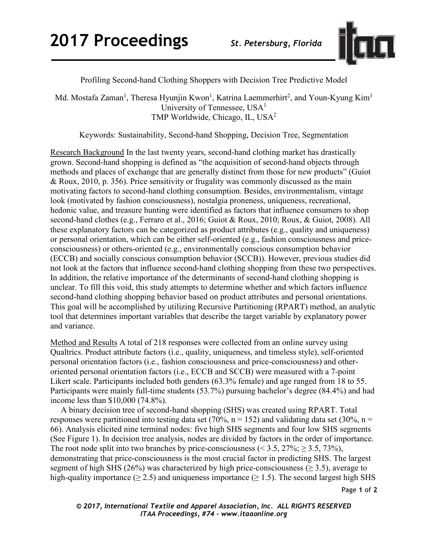

Profiling Second-hand Clothing Shoppers with Decision Tree Predictive Model

Md. Mostafa Zaman<sup>1</sup>, Theresa Hyunjin Kwon<sup>1</sup>, Katrina Laemmerhirt<sup>2</sup>, and Youn-Kyung Kim<sup>1</sup> University of Tennessee, USA<sup>1</sup> TMP Worldwide, Chicago, IL, USA2

Keywords: Sustainability, Second-hand Shopping, Decision Tree, Segmentation

Research Background In the last twenty years, second-hand clothing market has drastically grown. Second-hand shopping is defined as "the acquisition of second-hand objects through methods and places of exchange that are generally distinct from those for new products" (Guiot & Roux, 2010, p. 356). Price sensitivity or frugality was commonly discussed as the main motivating factors to second-hand clothing consumption. Besides, environmentalism, vintage look (motivated by fashion consciousness), nostalgia proneness, uniqueness, recreational, hedonic value, and treasure hunting were identified as factors that influence consumers to shop second-hand clothes (e.g., Ferraro et al., 2016; Guiot & Roux, 2010; Roux, & Guiot, 2008). All these explanatory factors can be categorized as product attributes (e.g., quality and uniqueness) or personal orientation, which can be either self-oriented (e.g., fashion consciousness and priceconsciousness) or others-oriented (e.g., environmentally conscious consumption behavior (ECCB) and socially conscious consumption behavior (SCCB)). However, previous studies did not look at the factors that influence second-hand clothing shopping from these two perspectives. In addition, the relative importance of the determinants of second-hand clothing shopping is unclear. To fill this void, this study attempts to determine whether and which factors influence second-hand clothing shopping behavior based on product attributes and personal orientations. This goal will be accomplished by utilizing Recursive Partitioning (RPART) method, an analytic tool that determines important variables that describe the target variable by explanatory power and variance.

Method and Results A total of 218 responses were collected from an online survey using Qualtrics. Product attribute factors (i.e., quality, uniqueness, and timeless style), self-oriented personal orientation factors (i.e., fashion consciousness and price-consciousness) and otheroriented personal orientation factors (i.e., ECCB and SCCB) were measured with a 7-point Likert scale. Participants included both genders (63.3% female) and age ranged from 18 to 55. Participants were mainly full-time students (53.7%) pursuing bachelor's degree (84.4%) and had income less than \$10,000 (74.8%).

 A binary decision tree of second-hand shopping (SHS) was created using RPART. Total responses were partitioned into testing data set (70%,  $n = 152$ ) and validating data set (30%,  $n =$ 66). Analysis elicited nine terminal nodes: five high SHS segments and four low SHS segments (See Figure 1). In decision tree analysis, nodes are divided by factors in the order of importance. The root node split into two branches by price-consciousness ( $\leq$  3.5, 27%;  $\geq$  3.5, 73%), demonstrating that price-consciousness is the most crucial factor in predicting SHS. The largest segment of high SHS (26%) was characterized by high price-consciousness ( $\geq$  3.5), average to high-quality importance ( $\geq$  2.5) and uniqueness importance ( $\geq$  1.5). The second largest high SHS

Page **1** of **2** 

*© 2017, International Textile and Apparel Association, Inc. ALL RIGHTS RESERVED ITAA Proceedings, #74 – www.itaaonline.org*